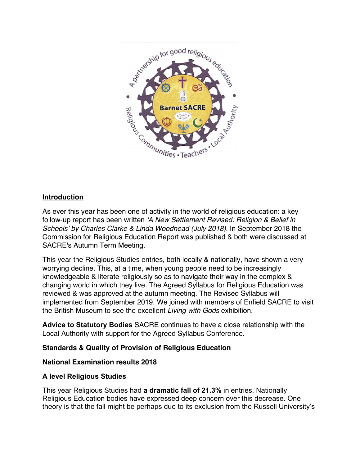

# **Introduction**

As ever this year has been one of activity in the world of religious education: a key follow-up report has been written *'A New Settlement Revised: Religion & Belief in Schools' by Charles Clarke & Linda Woodhead (July 2018).* In September 2018 the Commission for Religious Education Report was published & both were discussed at SACRE's Autumn Term Meeting.

This year the Religious Studies entries, both locally & nationally, have shown a very worrying decline. This, at a time, when young people need to be increasingly knowledgeable & literate religiously so as to navigate their way in the complex & changing world in which they live. The Agreed Syllabus for Religious Education was reviewed & was approved at the autumn meeting. The Revised Syllabus will implemented from September 2019. We joined with members of Enfield SACRE to visit the British Museum to see the excellent *Living with Gods* exhibition.

**Advice to Statutory Bodies** SACRE continues to have a close relationship with the Local Authority with support for the Agreed Syllabus Conference.

## **Standards & Quality of Provision of Religious Education**

## **National Examination results 2018**

## **A level Religious Studies**

This year Religious Studies had **a dramatic fall of 21.3%** in entries. Nationally Religious Education bodies have expressed deep concern over this decrease. One theory is that the fall might be perhaps due to its exclusion from the Russell University's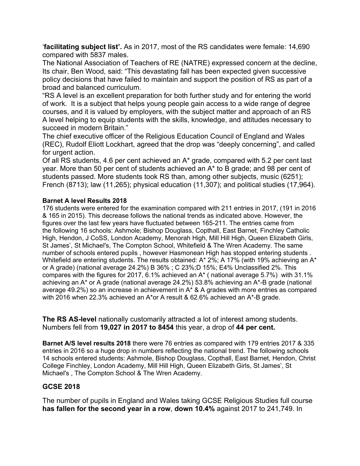'**facilitating subject list'.** As in 2017, most of the RS candidates were female: 14,690 compared with 5837 males.

The National Association of Teachers of RE (NATRE) expressed concern at the decline, Its chair, Ben Wood, said: "This devastating fall has been expected given successive policy decisions that have failed to maintain and support the position of RS as part of a broad and balanced curriculum.

"RS A level is an excellent preparation for both further study and for entering the world of work. It is a subject that helps young people gain access to a wide range of degree courses, and it is valued by employers, with the subject matter and approach of an RS A level helping to equip students with the skills, knowledge, and attitudes necessary to succeed in modern Britain."

The chief executive officer of the Religious Education Council of England and Wales (REC), Rudolf Eliott Lockhart, agreed that the drop was "deeply concerning", and called for urgent action.

Of all RS students, 4.6 per cent achieved an A\* grade, compared with 5.2 per cent last year. More than 50 per cent of students achieved an A\* to B grade; and 98 per cent of students passed. More students took RS than, among other subjects, music (6251); French (8713); law (11,265); physical education (11,307); and political studies (17,964).

### **Barnet A level Results 2018**

176 students were entered for the examination compared with 211 entries in 2017, (191 in 2016 & 165 in 2015). This decrease follows the national trends as indicated above. However, the figures over the last few years have fluctuated between 165-211. The entries came from the following 16 schools: Ashmole; Bishop Douglass, Copthall, East Barnet, Finchley Catholic High, Hendon, J CoSS, London Academy, Menorah High, Mill Hill High, Queen Elizabeth Girls, St James', St Michael's, The Compton School, Whitefield & The Wren Academy. The same number of schools entered pupils , however Hasmonean High has stopped entering students . Whitefield are entering students. The results obtained: A\* 2%; A 17% (with 19% achieving an A\* or A grade) (national average 24.2%) B 36% ; C 23%;D 15%; E4% Unclassified 2%. This compares with the figures for 2017, 6.1% achieved an A\* ( national average 5.7%) with 31.1% achieving an A\* or A grade (national average 24.2%) 53.8% achieving an A\*-B grade (national average 49.2%) so an increase in achievement in A\* & A grades with more entries as compared with 2016 when 22.3% achieved an A\*or A result & 62.6% achieved an A\*-B grade.

**The RS AS-level** nationally customarily attracted a lot of interest among students. Numbers fell from **19,027 in 2017 to 8454** this year, a drop of **44 per cent.**

**Barnet A/S level results 2018** there were 76 entries as compared with 179 entries 2017 & 335 entries in 2016 so a huge drop in numbers reflecting the national trend. The following schools 14 schools entered students: Ashmole, Bishop Douglass, Copthall, East Barnet, Hendon, Christ College Finchley, London Academy, Mill Hill High, Queen Elizabeth Girls, St James', St Michael's , The Compton School & The Wren Academy.

## **GCSE 2018**

The number of pupils in England and Wales taking GCSE Religious Studies full course **has fallen for the second year in a row**, **down 10.4%** against 2017 to 241,749. In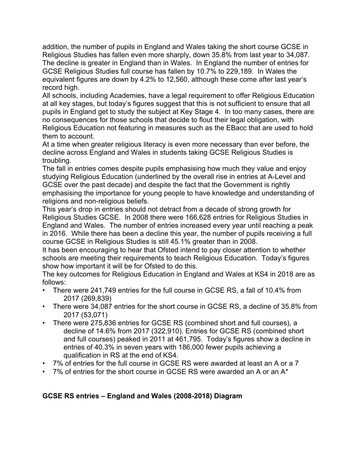addition, the number of pupils in England and Wales taking the short course GCSE in Religious Studies has fallen even more sharply, down 35.8% from last year to 34,087. The decline is greater in England than in Wales. In England the number of entries for GCSE Religious Studies full course has fallen by 10.7% to 229,189. In Wales the equivalent figures are down by 4.2% to 12,560, although these come after last year's record high.

All schools, including Academies, have a legal requirement to offer Religious Education at all key stages, but today's figures suggest that this is not sufficient to ensure that all pupils in England get to study the subject at Key Stage 4. In too many cases, there are no consequences for those schools that decide to flout their legal obligation, with Religious Education not featuring in measures such as the EBacc that are used to hold them to account.

At a time when greater religious literacy is even more necessary than ever before, the decline across England and Wales in students taking GCSE Religious Studies is troubling.

The fall in entries comes despite pupils emphasising how much they value and enjoy studying Religious Education (underlined by the overall rise in entries at A-Level and GCSE over the past decade) and despite the fact that the Government is rightly emphasising the importance for young people to have knowledge and understanding of religions and non-religious beliefs.

This year's drop in entries should not detract from a decade of strong growth for Religious Studies GCSE. In 2008 there were 166,628 entries for Religious Studies in England and Wales. The number of entries increased every year until reaching a peak in 2016. While there has been a decline this year, the number of pupils receiving a full course GCSE in Religious Studies is still 45.1% greater than in 2008.

It has been encouraging to hear that Ofsted intend to pay closer attention to whether schools are meeting their requirements to teach Religious Education. Today's figures show how important it will be for Ofsted to do this.

The key outcomes for Religious Education in England and Wales at KS4 in 2018 are as follows:

- There were 241,749 entries for the full course in GCSE RS, a fall of 10.4% from 2017 (269,839)
- There were 34,087 entries for the short course in GCSE RS, a decline of 35.8% from 2017 (53,071)
- There were 275,836 entries for GCSE RS (combined short and full courses), a decline of 14.6% from 2017 (322,910). Entries for GCSE RS (combined short and full courses) peaked in 2011 at 461,795. Today's figures show a decline in entries of 40.3% in seven years with 186,000 fewer pupils achieving a qualification in RS at the end of KS4.
- 7% of entries for the full course in GCSE RS were awarded at least an A or a 7
- 7% of entries for the short course in GCSE RS were awarded an A or an  $A^*$

# **GCSE RS entries – England and Wales (2008-2018) Diagram**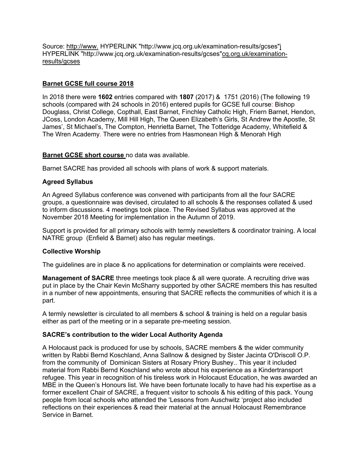Source: http://www. HYPERLINK "http://www.jcq.org.uk/examination-results/gcses"j HYPERLINK "http://www.jcq.org.uk/examination-results/gcses"cq.org.uk/examinationresults/gcses

### **Barnet GCSE full course 2018**

In 2018 there were **1602** entries compared with **1807** (2017) & 1751 (2016) (The following 19 schools (compared with 24 schools in 2016) entered pupils for GCSE full course: Bishop Douglass, Christ College, Copthall, East Barnet, Finchley Catholic High, Friern Barnet, Hendon, JCoss, London Academy, Mill Hill High, The Queen Elizabeth's Girls, St Andrew the Apostle, St James', St Michael's, The Compton, Henrietta Barnet, The Totteridge Academy, Whitefield & The Wren Academy. There were no entries from Hasmonean High & Menorah High

### **Barnet GCSE short course** no data was available.

Barnet SACRE has provided all schools with plans of work & support materials.

### **Agreed Syllabus**

An Agreed Syllabus conference was convened with participants from all the four SACRE groups, a questionnaire was devised, circulated to all schools & the responses collated & used to inform discussions. 4 meetings took place. The Revised Syllabus was approved at the November 2018 Meeting for implementation in the Autumn of 2019.

Support is provided for all primary schools with termly newsletters & coordinator training. A local NATRE group (Enfield & Barnet) also has regular meetings.

### **Collective Worship**

The guidelines are in place & no applications for determination or complaints were received.

**Management of SACRE** three meetings took place & all were quorate. A recruiting drive was put in place by the Chair Kevin McSharry supported by other SACRE members this has resulted in a number of new appointments, ensuring that SACRE reflects the communities of which it is a part.

A termly newsletter is circulated to all members & school & training is held on a regular basis either as part of the meeting or in a separate pre-meeting session.

### **SACRE's contribution to the wider Local Authority Agenda**

A Holocaust pack is produced for use by schools, SACRE members & the wider community written by Rabbi Bernd Koschland, Anna Sallnow & designed by Sister Jacinta O'Driscoll O.P. from the community of Dominican Sisters at Rosary Priory Bushey.. This year it included material from Rabbi Bernd Koschland who wrote about his experience as a Kindertransport refugee. This year in recognition of his tireless work in Holocaust Education, he was awarded an MBE in the Queen's Honours list. We have been fortunate locally to have had his expertise as a former excellent Chair of SACRE, a frequent visitor to schools & his editing of this pack. Young people from local schools who attended the 'Lessons from Auschwitz 'project also included reflections on their experiences & read their material at the annual Holocaust Remembrance Service in Barnet.